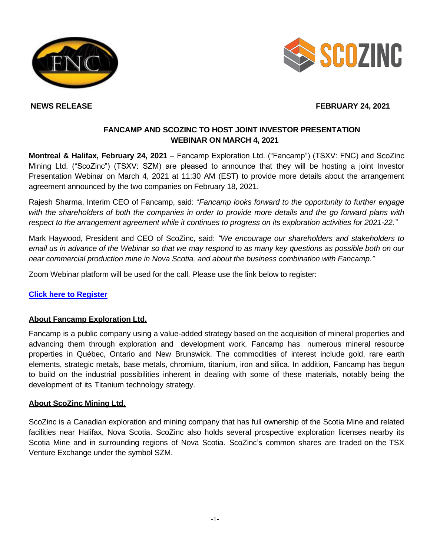



# **NEWS RELEASE FEBRUARY 24, 2021**

## **FANCAMP AND SCOZINC TO HOST JOINT INVESTOR PRESENTATION WEBINAR ON MARCH 4, 2021**

**Montreal & Halifax, February 24, 2021** – Fancamp Exploration Ltd. ("Fancamp") (TSXV: FNC) and ScoZinc Mining Ltd. ("ScoZinc") (TSXV: SZM) are pleased to announce that they will be hosting a joint Investor Presentation Webinar on March 4, 2021 at 11:30 AM (EST) to provide more details about the arrangement agreement announced by the two companies on February 18, 2021.

Rajesh Sharma, Interim CEO of Fancamp, said: "*Fancamp looks forward to the opportunity to further engage with the shareholders of both the companies in order to provide more details and the go forward plans with respect to the arrangement agreement while it continues to progress on its exploration activities for 2021-22."*

Mark Haywood, President and CEO of ScoZinc, said: *"We encourage our shareholders and stakeholders to email us in advance of the Webinar so that we may respond to as many key questions as possible both on our near commercial production mine in Nova Scotia, and about the business combination with Fancamp."*

Zoom Webinar platform will be used for the call. Please use the link below to register:

## **[Click here to Register](https://us02web.zoom.us/webinar/register/WN_OhgLLQ8XRimvrevE-ocoYg)**

## **About Fancamp Exploration Ltd.**

Fancamp is a public company using a value-added strategy based on the acquisition of mineral properties and advancing them through exploration and development work. Fancamp has numerous mineral resource properties in Québec, Ontario and New Brunswick. The commodities of interest include gold, rare earth elements, strategic metals, base metals, chromium, titanium, iron and silica. In addition, Fancamp has begun to build on the industrial possibilities inherent in dealing with some of these materials, notably being the development of its Titanium technology strategy.

## **About ScoZinc Mining Ltd.**

ScoZinc is a Canadian exploration and mining company that has full ownership of the Scotia Mine and related facilities near Halifax, Nova Scotia. ScoZinc also holds several prospective exploration licenses nearby its Scotia Mine and in surrounding regions of Nova Scotia. ScoZinc's common shares are traded on the TSX Venture Exchange under the symbol SZM.